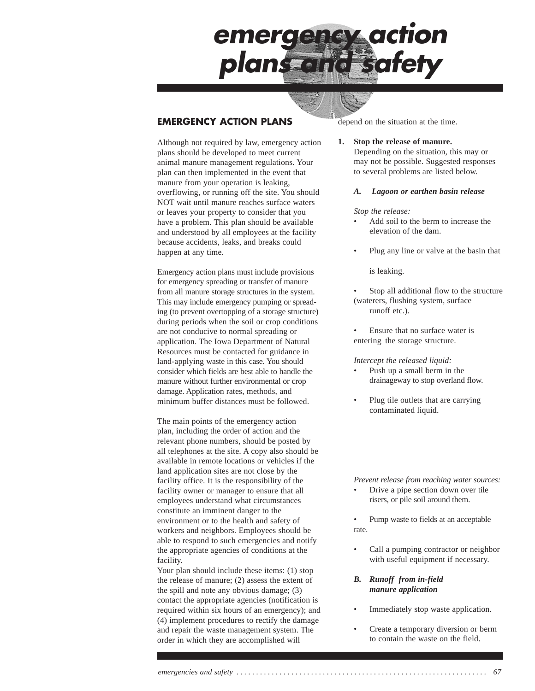

## **EMERGENCY ACTION PLANS**

Although not required by law, emergency action plans should be developed to meet current animal manure management regulations. Your plan can then implemented in the event that manure from your operation is leaking, overflowing, or running off the site. You should NOT wait until manure reaches surface waters or leaves your property to consider that you have a problem. This plan should be available and understood by all employees at the facility because accidents, leaks, and breaks could happen at any time.

Emergency action plans must include provisions for emergency spreading or transfer of manure from all manure storage structures in the system. This may include emergency pumping or spreading (to prevent overtopping of a storage structure) during periods when the soil or crop conditions are not conducive to normal spreading or application. The Iowa Department of Natural Resources must be contacted for guidance in land-applying waste in this case. You should consider which fields are best able to handle the manure without further environmental or crop damage. Application rates, methods, and minimum buffer distances must be followed.

The main points of the emergency action plan, including the order of action and the relevant phone numbers, should be posted by all telephones at the site. A copy also should be available in remote locations or vehicles if the land application sites are not close by the facility office. It is the responsibility of the facility owner or manager to ensure that all employees understand what circumstances constitute an imminent danger to the environment or to the health and safety of workers and neighbors. Employees should be able to respond to such emergencies and notify the appropriate agencies of conditions at the facility.

Your plan should include these items: (1) stop the release of manure; (2) assess the extent of the spill and note any obvious damage; (3) contact the appropriate agencies (notification is required within six hours of an emergency); and (4) implement procedures to rectify the damage and repair the waste management system. The order in which they are accomplished will

depend on the situation at the time.

#### **1. Stop the release of manure.**

Depending on the situation, this may or may not be possible. Suggested responses to several problems are listed below.

### *A. Lagoon or earthen basin release*

#### *Stop the release:*

- Add soil to the berm to increase the elevation of the dam.
- Plug any line or valve at the basin that

is leaking.

- Stop all additional flow to the structure (waterers, flushing system, surface runoff etc.).
- Ensure that no surface water is entering the storage structure.

#### *Intercept the released liquid:*

- Push up a small berm in the drainageway to stop overland flow.
- Plug tile outlets that are carrying contaminated liquid.

*Prevent release from reaching water sources:*

- Drive a pipe section down over tile risers, or pile soil around them.
- Pump waste to fields at an acceptable rate.
- Call a pumping contractor or neighbor with useful equipment if necessary.

### *B. Runoff from in-field manure application*

- Immediately stop waste application.
- Create a temporary diversion or berm to contain the waste on the field.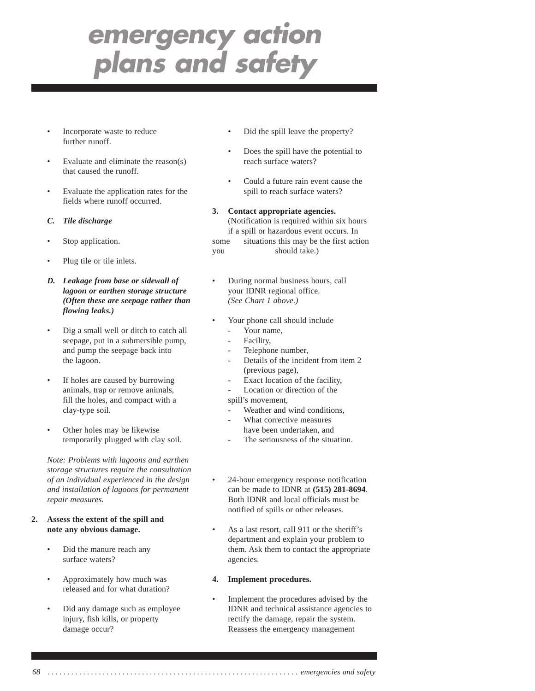- Incorporate waste to reduce further runoff.
- Evaluate and eliminate the reason(s) that caused the runoff.
- Evaluate the application rates for the fields where runoff occurred.
- *C. Tile discharge*
- Stop application.
- Plug tile or tile inlets.
- *D. Leakage from base or sidewall of lagoon or earthen storage structure (Often these are seepage rather than flowing leaks.)*
- Dig a small well or ditch to catch all seepage, put in a submersible pump, and pump the seepage back into the lagoon.
- If holes are caused by burrowing animals, trap or remove animals, fill the holes, and compact with a clay-type soil.
- Other holes may be likewise temporarily plugged with clay soil.

*Note: Problems with lagoons and earthen storage structures require the consultation of an individual experienced in the design and installation of lagoons for permanent repair measures.*

- **2. Assess the extent of the spill and note any obvious damage.**
	- Did the manure reach any surface waters?
	- Approximately how much was released and for what duration?
	- Did any damage such as employee injury, fish kills, or property damage occur?
- Did the spill leave the property?
- Does the spill have the potential to reach surface waters?
- Could a future rain event cause the spill to reach surface waters?
- **3. Contact appropriate agencies.** (Notification is required within six hours if a spill or hazardous event occurs. In some situations this may be the first action you should take.)
- During normal business hours, call your IDNR regional office. *(See Chart 1 above.)*
- Your phone call should include
	- Your name.
	- Facility.
	- Telephone number,
	- Details of the incident from item 2 (previous page),
	- Exact location of the facility,
	- Location or direction of the

spill's movement,

- Weather and wind conditions,
- What corrective measures have been undertaken, and
- The seriousness of the situation.
- 24-hour emergency response notification can be made to IDNR at **(515) 281-8694**. Both IDNR and local officials must be notified of spills or other releases.
- As a last resort, call 911 or the sheriff's department and explain your problem to them. Ask them to contact the appropriate agencies.

### **4. Implement procedures.**

• Implement the procedures advised by the IDNR and technical assistance agencies to rectify the damage, repair the system. Reassess the emergency management

*68 . . . . . . . . . . . . . . . . . . . . . . . . . . . . . . . . . . . . . . . . . . . . . . . . . . . . . . . . . . . . . . . . emergencies and safety*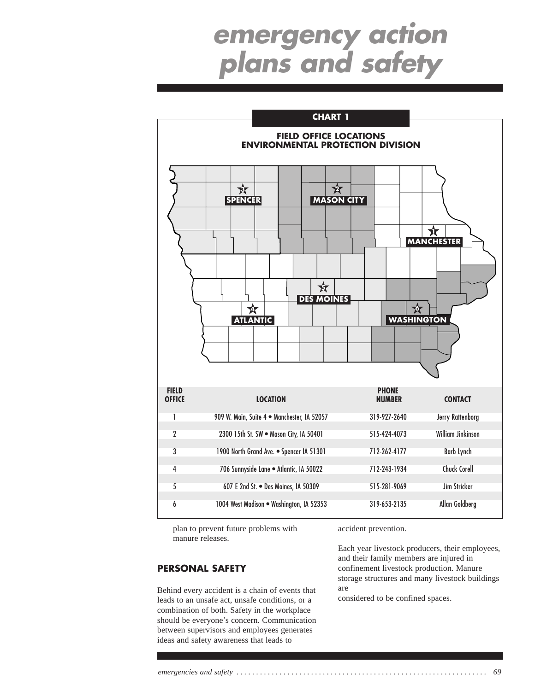

plan to prevent future problems with manure releases.

## **PERSONAL SAFETY**

Behind every accident is a chain of events that leads to an unsafe act, unsafe conditions, or a combination of both. Safety in the workplace should be everyone's concern. Communication between supervisors and employees generates ideas and safety awareness that leads to

accident prevention.

Each year livestock producers, their employees, and their family members are injured in confinement livestock production. Manure storage structures and many livestock buildings are

considered to be confined spaces.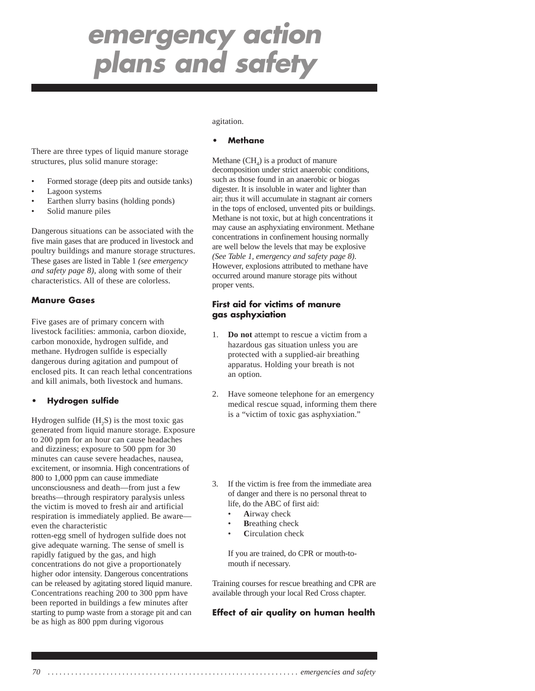There are three types of liquid manure storage structures, plus solid manure storage:

- Formed storage (deep pits and outside tanks)
- Lagoon systems
- Earthen slurry basins (holding ponds)
- Solid manure piles

Dangerous situations can be associated with the five main gases that are produced in livestock and poultry buildings and manure storage structures. These gases are listed in Table 1 *(see emergency and safety page 8)*, along with some of their characteristics. All of these are colorless.

## **Manure Gases**

Five gases are of primary concern with livestock facilities: ammonia, carbon dioxide, carbon monoxide, hydrogen sulfide, and methane. Hydrogen sulfide is especially dangerous during agitation and pumpout of enclosed pits. It can reach lethal concentrations and kill animals, both livestock and humans.

### **• Hydrogen sulfide**

Hydrogen sulfide  $(H, S)$  is the most toxic gas generated from liquid manure storage. Exposure to 200 ppm for an hour can cause headaches and dizziness; exposure to 500 ppm for 30 minutes can cause severe headaches, nausea, excitement, or insomnia. High concentrations of 800 to 1,000 ppm can cause immediate unconsciousness and death—from just a few breaths—through respiratory paralysis unless the victim is moved to fresh air and artificial respiration is immediately applied. Be aware even the characteristic

rotten-egg smell of hydrogen sulfide does not give adequate warning. The sense of smell is rapidly fatigued by the gas, and high concentrations do not give a proportionately higher odor intensity. Dangerous concentrations can be released by agitating stored liquid manure. Concentrations reaching 200 to 300 ppm have been reported in buildings a few minutes after starting to pump waste from a storage pit and can be as high as 800 ppm during vigorous

#### agitation.

### **• Methane**

Methane  $(CH<sub>4</sub>)$  is a product of manure decomposition under strict anaerobic conditions, such as those found in an anaerobic or biogas digester. It is insoluble in water and lighter than air; thus it will accumulate in stagnant air corners in the tops of enclosed, unvented pits or buildings. Methane is not toxic, but at high concentrations it may cause an asphyxiating environment. Methane concentrations in confinement housing normally are well below the levels that may be explosive *(See Table 1, emergency and safety page 8)*. However, explosions attributed to methane have occurred around manure storage pits without proper vents.

## **First aid for victims of manure gas asphyxiation**

- 1. **Do not** attempt to rescue a victim from a hazardous gas situation unless you are protected with a supplied-air breathing apparatus. Holding your breath is not an option.
- 2. Have someone telephone for an emergency medical rescue squad, informing them there is a "victim of toxic gas asphyxiation."
- 3. If the victim is free from the immediate area of danger and there is no personal threat to life, do the ABC of first aid:
	- **A**irway check
	- **Breathing check**
	- **C**irculation check

If you are trained, do CPR or mouth-tomouth if necessary.

Training courses for rescue breathing and CPR are available through your local Red Cross chapter.

### **Effect of air quality on human health**

*70 . . . . . . . . . . . . . . . . . . . . . . . . . . . . . . . . . . . . . . . . . . . . . . . . . . . . . . . . . . . . . . . . emergencies and safety*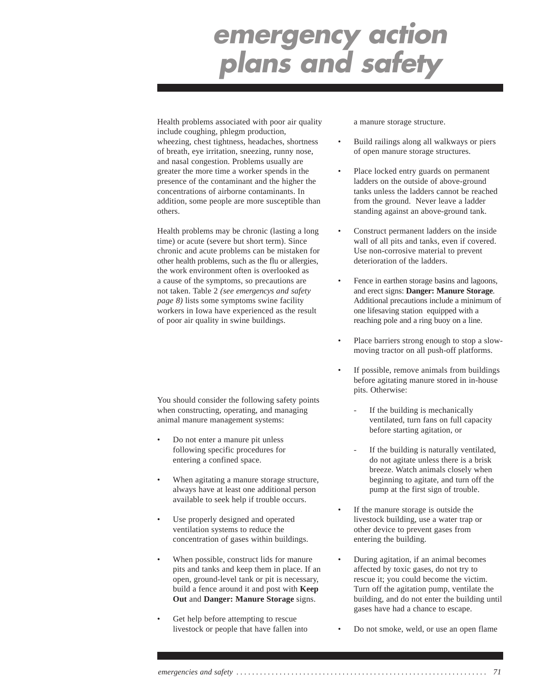Health problems associated with poor air quality include coughing, phlegm production, wheezing, chest tightness, headaches, shortness of breath, eye irritation, sneezing, runny nose, and nasal congestion. Problems usually are greater the more time a worker spends in the presence of the contaminant and the higher the concentrations of airborne contaminants. In addition, some people are more susceptible than others.

Health problems may be chronic (lasting a long time) or acute (severe but short term). Since chronic and acute problems can be mistaken for other health problems, such as the flu or allergies, the work environment often is overlooked as a cause of the symptoms, so precautions are not taken. Table 2 *(see emergencys and safety page 8)* lists some symptoms swine facility workers in Iowa have experienced as the result of poor air quality in swine buildings.

You should consider the following safety points when constructing, operating, and managing animal manure management systems:

- Do not enter a manure pit unless following specific procedures for entering a confined space.
- When agitating a manure storage structure, always have at least one additional person available to seek help if trouble occurs.
- Use properly designed and operated ventilation systems to reduce the concentration of gases within buildings.
- When possible, construct lids for manure pits and tanks and keep them in place. If an open, ground-level tank or pit is necessary, build a fence around it and post with **Keep Out** and **Danger: Manure Storage** signs.
- Get help before attempting to rescue livestock or people that have fallen into

a manure storage structure.

- Build railings along all walkways or piers of open manure storage structures.
- Place locked entry guards on permanent ladders on the outside of above-ground tanks unless the ladders cannot be reached from the ground. Never leave a ladder standing against an above-ground tank.
- Construct permanent ladders on the inside wall of all pits and tanks, even if covered. Use non-corrosive material to prevent deterioration of the ladders.
- Fence in earthen storage basins and lagoons, and erect signs: **Danger: Manure Storage**. Additional precautions include a minimum of one lifesaving station equipped with a reaching pole and a ring buoy on a line.
- Place barriers strong enough to stop a slowmoving tractor on all push-off platforms.
- If possible, remove animals from buildings before agitating manure stored in in-house pits. Otherwise:
	- If the building is mechanically ventilated, turn fans on full capacity before starting agitation, or
	- If the building is naturally ventilated, do not agitate unless there is a brisk breeze. Watch animals closely when beginning to agitate, and turn off the pump at the first sign of trouble.
- If the manure storage is outside the livestock building, use a water trap or other device to prevent gases from entering the building.
- During agitation, if an animal becomes affected by toxic gases, do not try to rescue it; you could become the victim. Turn off the agitation pump, ventilate the building, and do not enter the building until gases have had a chance to escape.
- Do not smoke, weld, or use an open flame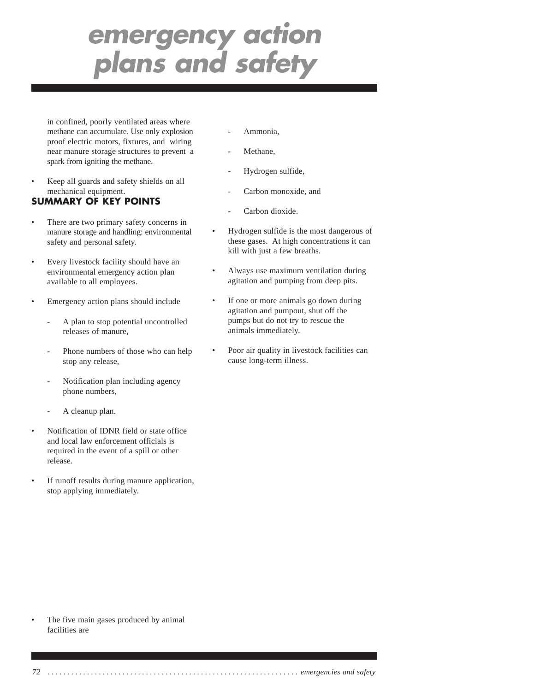in confined, poorly ventilated areas where methane can accumulate. Use only explosion proof electric motors, fixtures, and wiring near manure storage structures to prevent a spark from igniting the methane.

• Keep all guards and safety shields on all mechanical equipment.

## **SUMMARY OF KEY POINTS**

- There are two primary safety concerns in manure storage and handling: environmental safety and personal safety.
- Every livestock facility should have an environmental emergency action plan available to all employees.
- Emergency action plans should include
	- A plan to stop potential uncontrolled releases of manure,
	- Phone numbers of those who can help stop any release,
	- Notification plan including agency phone numbers,
	- A cleanup plan.
- Notification of IDNR field or state office and local law enforcement officials is required in the event of a spill or other release.
- If runoff results during manure application, stop applying immediately.
- Ammonia.
- Methane,
- Hydrogen sulfide,
- Carbon monoxide, and
- Carbon dioxide.
- Hydrogen sulfide is the most dangerous of these gases. At high concentrations it can kill with just a few breaths.
- Always use maximum ventilation during agitation and pumping from deep pits.
- If one or more animals go down during agitation and pumpout, shut off the pumps but do not try to rescue the animals immediately.
- Poor air quality in livestock facilities can cause long-term illness.

The five main gases produced by animal facilities are

*72 . . . . . . . . . . . . . . . . . . . . . . . . . . . . . . . . . . . . . . . . . . . . . . . . . . . . . . . . . . . . . . . . emergencies and safety*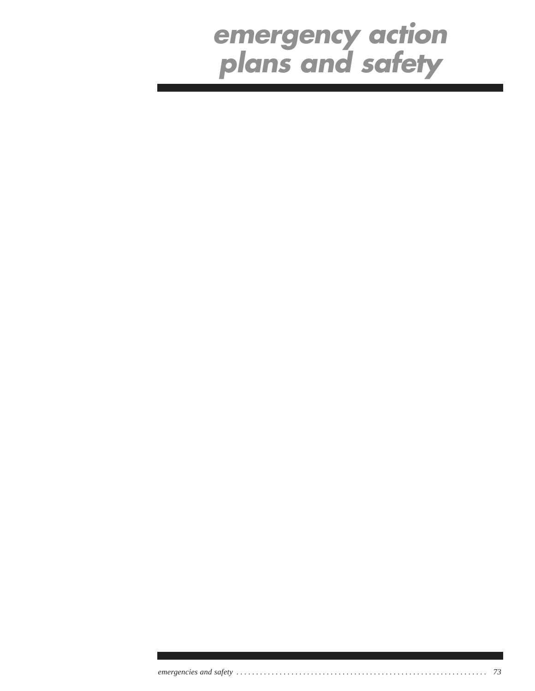*emergencies and safety . . . . . . . . . . . . . . . . . . . . . . . . . . . . . . . . . . . . . . . . . . . . . . . . . . . . . . . . . . . . . . . . 73*